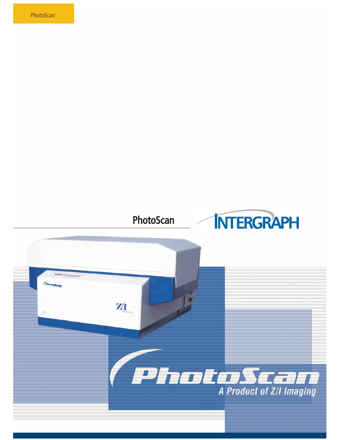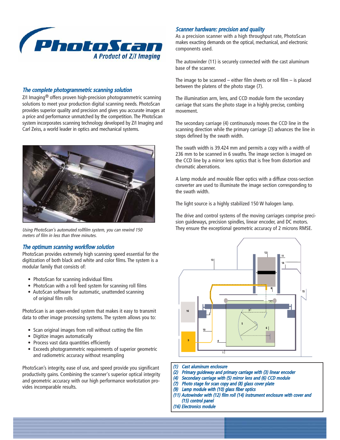

## The complete photogrammetric scanning solution

Z/I Imaging<sup>®</sup> offers proven high-precision photogrammetric scanning solutions to meet your production digital scanning needs. PhotoScan provides superior quality and precision and gives you accurate images at a price and performance unmatched by the competition. The PhotoScan system incorporates scanning technology developed by Z/I Imaging and Carl Zeiss, a world leader in optics and mechanical systems.



Using PhotoScan's automated rollfilm system, you can rewind 150 meters of film in less than three minutes.

### The optimum scanning workflow solution

PhotoScan provides extremely high scanning speed essential for the digitization of both black and white and color films. The system is a modular family that consists of:

- PhotoScan for scanning individual films
- PhotoScan with a roll feed system for scanning roll films
- AutoScan software for automatic, unattended scanning of original film rolls

PhotoScan is an open-ended system that makes it easy to transmit data to other image processing systems. The system allows you to:

- Scan original images from roll without cutting the film
- Digitize images automatically
- Process vast data quantities efficiently
- Exceeds photogrammetric requirements of superior geometric and radiometric accuracy without resampling

PhotoScan's integrity, ease of use, and speed provide you significant productivity gains. Combining the scanner's superior optical integrity and geometric accuracy with our high performance workstation provides incomparable results.

### Scanner hardware: precision and quality

As a precision scanner with a high throughput rate, PhotoScan makes exacting demands on the optical, mechanical, and electronic components used.

The autowinder (11) is securely connected with the cast aluminum base of the scanner.

The image to be scanned – either film sheets or roll film – is placed between the platens of the photo stage (7).

The illumination arm, lens, and CCD module form the secondary carriage that scans the photo stage in a highly precise, combing movement.

The secondary carriage (4) continuously moves the CCD line in the scanning direction while the primary carriage (2) advances the line in steps defined by the swath width.

The swath width is 39.424 mm and permits a copy with a width of 236 mm to be scanned in 6 swaths. The image section is imaged on the CCD line by a mirror lens optics that is free from distortion and chromatic aberrations.

A lamp module and movable fiber optics with a diffuse cross-section converter are used to illuminate the image section corresponding to the swath width.

The light source is a highly stabilized 150 W halogen lamp.

The drive and control systems of the moving carriages comprise precision guideways, precision spindles, linear encoder, and DC motors. They ensure the exceptional geometric accuracy of 2 microns RMSE.



- (1) Cast aluminum enclosure
- (2) Primary guideway and primary carriage with (3) linear encoder
- (4) Secondary carriage with (5) mirror lens and (6) CCD module
- (7) Photo stage for scan copy and (8) glass cover plate
- (9) Lamp module with (10) glass fiber optics
- (11) Autowinder with (12) film roll (14) instrument enclosure with cover and (15) control panel
- (16) Electronics module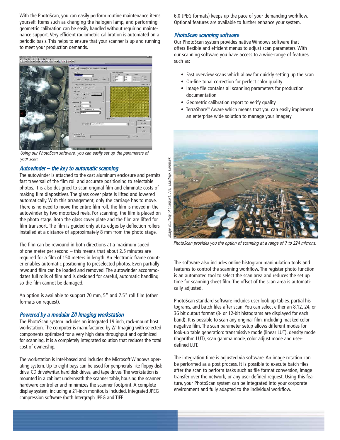With the PhotoScan, you can easily perform routine maintenance items yourself. Items such as changing the halogen lamp, and performing geometric calibration can be easily handled without requiring maintenance support. Very efficient radiometric calibration is automated on a periodic basis. This helps to ensure that your scanner is up and running to meet your production demands.



Using our PhotoScan software, you can easily set up the parameters of your scan.

## Autowinder – the key to automatic scanning

The autowinder is attached to the cast aluminum enclosure and permits fast traversal of the film roll and accurate positioning to selectable photos. It is also designed to scan original film and eliminate costs of making film diapositives. The glass cover plate is lifted and lowered automatically. With this arrangement, only the carriage has to move. There is no need to move the entire film roll. The film is moved in the autowinder by two motorized reels. For scanning, the film is placed on the photo stage. Both the glass cover plate and the film are lifted for film transport. The film is guided only at its edges by deflection rollers installed at a distance of approximately 8 mm from the photo stage.

The film can be rewound in both directions at a maximum speed of one meter per second – this means that about 2.5 minutes are required for a film of 150 meters in length. An electronic frame counter enables automatic positioning to preselected photos. Even partially rewound film can be loaded and removed. The autowinder accommodates full rolls of film and is designed for careful, automatic handling so the film cannot be damaged.

An option is available to support 70 mm, 5" and 7.5" roll film (other formats on request).

## Powered by a modular Z/I Imaging workstation

The PhotoScan system includes an integrated 19 inch, rack-mount host workstation. The computer is manufactured by Z/I Imaging with selected components optimized for a very high data throughput and optimized for scanning. It is a completely integrated solution that reduces the total cost of ownership.

The workstation is Intel-based and includes the Microsoft Windows operating system. Up to eight bays can be used for peripherals like floppy disk drive, CD drive/writer, hard disk drives, and tape drives. The workstation is mounted in a cabinet underneath the scanner table, housing the scanner hardware controller and minimizes the scanner footprint. A complete display system, including a 21-inch monitor, is included. Integrated JPEG compression software (both Intergraph JPEG and TIFF

6.0 JPEG formats) keeps up the pace of your demanding workflow. Optional features are available to further enhance your system.

## PhotoScan scanning software

Our PhotoScan system provides native Windows software that offers flexible and efficient menus to adjust scan parameters. With our scanning software you have access to a wide-range of features, such as:

- Fast overview scans which allow for quickly setting up the scan
- On-line tonal correction for perfect color quality
- Image file contains all scanning parameters for production documentation
- Geometric calibration report to verify quality
- TerraShare™ Aware which means that you can easily implement an enterprise wide solution to manage your imagery



PhotoScan provides you the option of scanning at a range of 7 to 224 microns.

The software also includes online histogram manipulation tools and features to control the scanning workflow. The register photo function is an automated tool to select the scan area and reduces the set up time for scanning sheet film. The offset of the scan area is automatically adjusted.

PhotoScan standard software includes user look-up tables, partial histograms, and batch files after scan. You can select either an 8,12, 24, or 36 bit output format (8- or 12-bit histograms are displayed for each band). It is possible to scan any original film, including masked color negative film. The scan parameter setup allows different modes for look-up table generation: transmissive mode (linear LUT), density mode (logarithm LUT), scan gamma mode, color adjust mode and userdefined LUT.

The integration time is adjusted via software. An image rotation can be performed as a post process. It is possible to execute batch files after the scan to perform tasks such as file format conversion, image transfer over the network, or any user-defined request. Using this feature, your PhotoScan system can be integrated into your corporate environment and fully adapted to the individual workflow.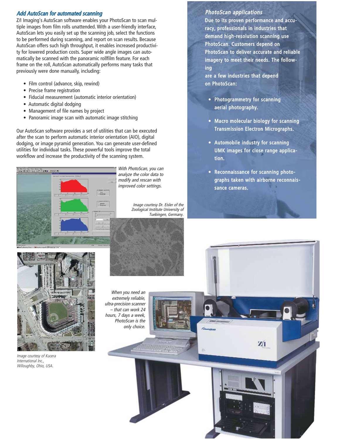## Add AutoScan for automated scanning

Z/I Imaging's AutoScan software enables your PhotoScan to scan multiple images from film rolls unattended. With a user-friendly interface, AutoScan lets you easily set up the scanning job, select the functions to be performed during scanning, and report on scan results. Because AutoScan offers such high throughput, it enables increased productivity for lowered production costs. Super wide angle images can automatically be scanned with the panoramic rollfilm feature. For each frame on the roll, AutoScan automatically performs many tasks that previously were done manually, including:

- Film control (advance, skip, rewind)
- Precise frame registration
- Fiducial measurement (automatic interior orientation)
- Automatic digital dodging
- Management of file names by project
- Panoramic image scan with automatic image stitching

Our AutoScan software provides a set of utilities that can be executed after the scan to perform automatic interior orientation (AIO), digital dodging, or image pyramid generation. You can generate user-defined utilities for individual tasks. These powerful tools improve the total workflow and increase the productivity of the scanning system.



With PhotoScan, you can analyze the color data to modify and rescan with improved color settings.

> Image courtesy Dr. Eisler of the Zoological Institute University of Tuebingen, Germany.

## PhotoScan applications

Due to its proven performance and accuracy, professionals in industries that demand high-resolution scanning use PhotoScan. Customers depend on PhotoScan to deliver accurate and reliable imagery to meet their needs. The following

are a few industries that depend on PhotoScan:

- Photogrammetry for scanning aerial photography.
- Macro molecular biology for scanning Transmission Electron Micrographs.
- Automobile industry for scanning UMK images for close range application.
- Reconnaissance for scanning photographs taken with airborne reconnaissance cameras.



Image courtesy of Kucera International Inc., Willoughby, Ohio, USA.

When you need an extremely reliable, ultra-precision scanner – that can work 24 hours, 7 days a week, PhotoScan is the only choice.



ZI

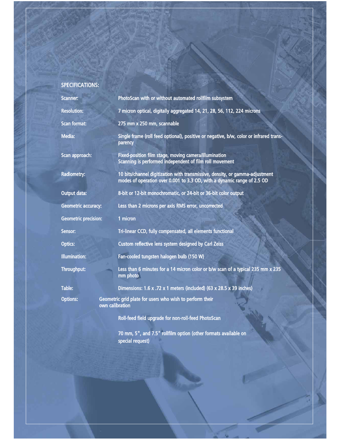# SPECIFICATIONS:

| <b>Scanner:</b>             | PhotoScan with or without automated rollfilm subsystem                                                                                                  |
|-----------------------------|---------------------------------------------------------------------------------------------------------------------------------------------------------|
| <b>Resolution:</b>          | 7 micron optical, digitally aggregated 14, 21, 28, 56, 112, 224 microns                                                                                 |
| <b>Scan format:</b>         | 275 mm x 250 mm, scannable                                                                                                                              |
| <b>Media:</b>               | Single frame (roll feed optional), positive or negative, b/w, color or infrared trans-<br>parency                                                       |
| Scan approach:              | Fixed-position film stage, moving camera/illumination<br>Scanning is performed independent of film roll movement                                        |
| <b>Radiometry:</b>          | 10 bits/channel digitization with transmissive, density, or gamma-adjustment<br>modes of operation over 0.001 to 3.3 OD, with a dynamic range of 2.5 OD |
| <b>Output data:</b>         | 8-bit or 12-bit monochromatic, or 24-bit or 36-bit color output                                                                                         |
| <b>Geometric accuracy:</b>  | Less than 2 microns per axis RMS error, uncorrected                                                                                                     |
| <b>Geometric precision:</b> | 1 micron                                                                                                                                                |
| Sensor:                     | Tri-linear CCD, fully compensated, all elements functional                                                                                              |
| <b>Optics:</b>              | Custom reflective lens system designed by Carl Zeiss                                                                                                    |
| <b>Illumination:</b>        | Fan-cooled tungsten halogen bulb (150 W)                                                                                                                |
| <b>Throughput:</b>          | Less than 6 minutes for a 14 micron color or b/w scan of a typical 235 mm x 235<br>mm photo                                                             |
| Table:                      | Dimensions: 1.6 x .72 x 1 meters (included) (63 x 28.5 x 39 inches)                                                                                     |
| <b>Options:</b>             | Geometric grid plate for users who wish to perform their<br>own calibration                                                                             |
|                             | Roll-feed field upgrade for non-roll-feed PhotoScan                                                                                                     |
|                             | 70 mm, 5", and 7.5" rollfilm option (other formats available on                                                                                         |

special request)